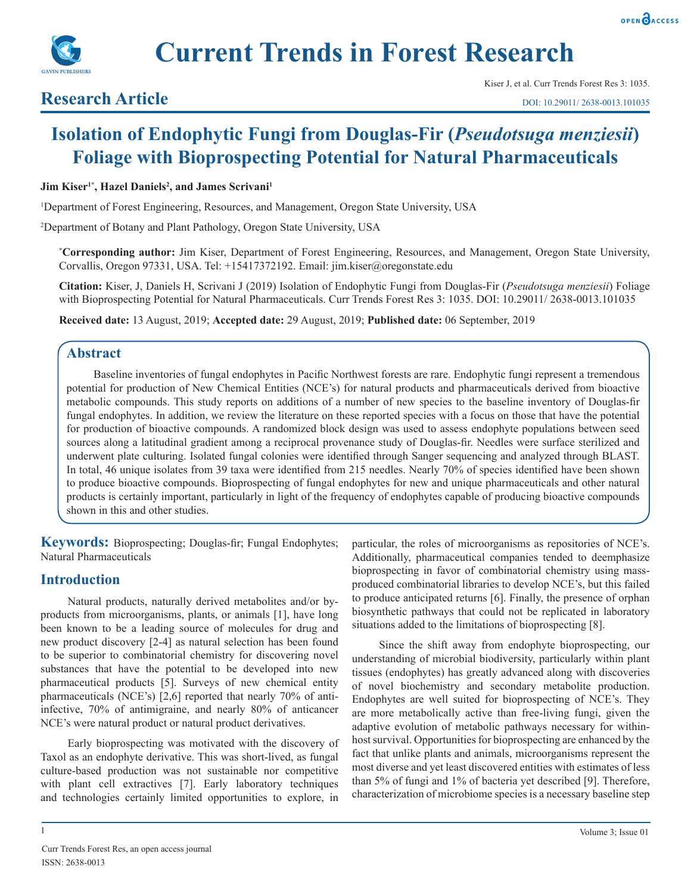

**Current Trends in Forest Research**

## **Research Article**

# **Isolation of Endophytic Fungi from Douglas-Fir (***Pseudotsuga menziesii***) Foliage with Bioprospecting Potential for Natural Pharmaceuticals**

#### **Jim Kiser<sup>1\*</sup>, Hazel Daniels<sup>2</sup>, and James Scrivani<sup>1</sup>**

1 Department of Forest Engineering, Resources, and Management, Oregon State University, USA

2 Department of Botany and Plant Pathology, Oregon State University, USA

**\* Corresponding author:** Jim Kiser, Department of Forest Engineering, Resources, and Management, Oregon State University, Corvallis, Oregon 97331, USA. Tel: +15417372192. Email: jim.kiser@oregonstate.edu

**Citation:** Kiser, J, Daniels H, Scrivani J (2019) Isolation of Endophytic Fungi from Douglas-Fir (*Pseudotsuga menziesii*) Foliage with Bioprospecting Potential for Natural Pharmaceuticals. Curr Trends Forest Res 3: 1035. DOI: 10.29011/ 2638-0013.101035

**Received date:** 13 August, 2019; **Accepted date:** 29 August, 2019; **Published date:** 06 September, 2019

## **Abstract**

Baseline inventories of fungal endophytes in Pacific Northwest forests are rare. Endophytic fungi represent a tremendous potential for production of New Chemical Entities (NCE's) for natural products and pharmaceuticals derived from bioactive metabolic compounds. This study reports on additions of a number of new species to the baseline inventory of Douglas-fir fungal endophytes. In addition, we review the literature on these reported species with a focus on those that have the potential for production of bioactive compounds. A randomized block design was used to assess endophyte populations between seed sources along a latitudinal gradient among a reciprocal provenance study of Douglas-fir. Needles were surface sterilized and underwent plate culturing. Isolated fungal colonies were identified through Sanger sequencing and analyzed through BLAST. In total, 46 unique isolates from 39 taxa were identified from 215 needles. Nearly 70% of species identified have been shown to produce bioactive compounds. Bioprospecting of fungal endophytes for new and unique pharmaceuticals and other natural products is certainly important, particularly in light of the frequency of endophytes capable of producing bioactive compounds shown in this and other studies.

**Keywords:** Bioprospecting; Douglas-fir; Fungal Endophytes; Natural Pharmaceuticals

## **Introduction**

Natural products, naturally derived metabolites and/or byproducts from microorganisms, plants, or animals [1], have long been known to be a leading source of molecules for drug and new product discovery [2-4] as natural selection has been found to be superior to combinatorial chemistry for discovering novel substances that have the potential to be developed into new pharmaceutical products [5]. Surveys of new chemical entity pharmaceuticals (NCE's) [2,6] reported that nearly 70% of antiinfective, 70% of antimigraine, and nearly 80% of anticancer NCE's were natural product or natural product derivatives.

Early bioprospecting was motivated with the discovery of Taxol as an endophyte derivative. This was short-lived, as fungal culture-based production was not sustainable nor competitive with plant cell extractives [7]. Early laboratory techniques and technologies certainly limited opportunities to explore, in particular, the roles of microorganisms as repositories of NCE's. Additionally, pharmaceutical companies tended to deemphasize bioprospecting in favor of combinatorial chemistry using massproduced combinatorial libraries to develop NCE's, but this failed to produce anticipated returns [6]. Finally, the presence of orphan biosynthetic pathways that could not be replicated in laboratory situations added to the limitations of bioprospecting [8].

Since the shift away from endophyte bioprospecting, our understanding of microbial biodiversity, particularly within plant tissues (endophytes) has greatly advanced along with discoveries of novel biochemistry and secondary metabolite production. Endophytes are well suited for bioprospecting of NCE's. They are more metabolically active than free-living fungi, given the adaptive evolution of metabolic pathways necessary for withinhost survival. Opportunities for bioprospecting are enhanced by the fact that unlike plants and animals, microorganisms represent the most diverse and yet least discovered entities with estimates of less than 5% of fungi and 1% of bacteria yet described [9]. Therefore, characterization of microbiome species is a necessary baseline step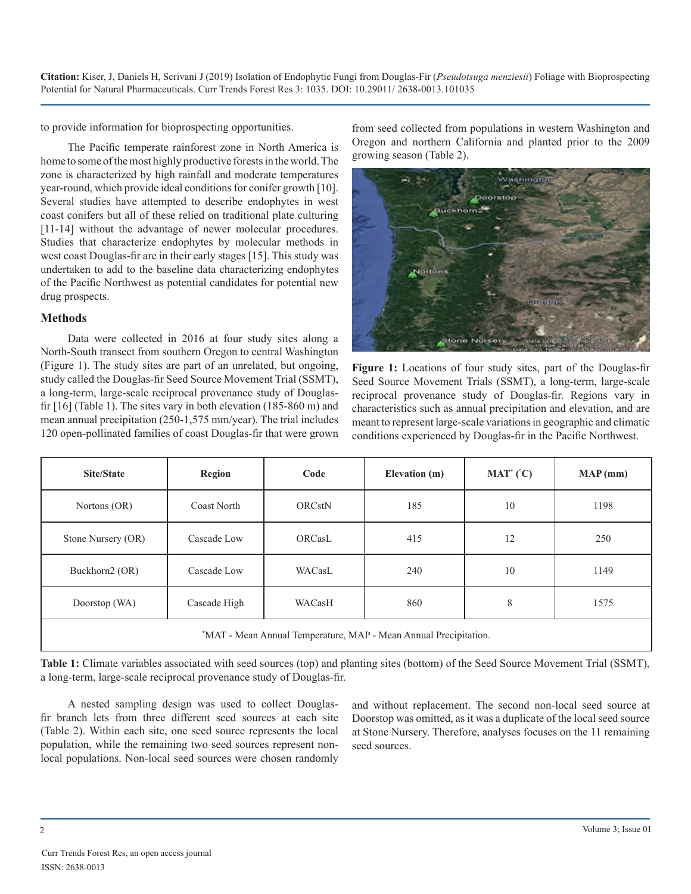to provide information for bioprospecting opportunities.

The Pacific temperate rainforest zone in North America is home to some of the most highly productive forests in the world. The zone is characterized by high rainfall and moderate temperatures year-round, which provide ideal conditions for conifer growth [10]. Several studies have attempted to describe endophytes in west coast conifers but all of these relied on traditional plate culturing [11-14] without the advantage of newer molecular procedures. Studies that characterize endophytes by molecular methods in west coast Douglas-fir are in their early stages [15]. This study was undertaken to add to the baseline data characterizing endophytes of the Pacific Northwest as potential candidates for potential new drug prospects.

#### **Methods**

Data were collected in 2016 at four study sites along a North-South transect from southern Oregon to central Washington (Figure 1). The study sites are part of an unrelated, but ongoing, study called the Douglas-fir Seed Source Movement Trial (SSMT), a long-term, large-scale reciprocal provenance study of Douglasfir [16] (Table 1). The sites vary in both elevation (185-860 m) and mean annual precipitation (250-1,575 mm/year). The trial includes 120 open-pollinated families of coast Douglas-fir that were grown

from seed collected from populations in western Washington and Oregon and northern California and planted prior to the 2009 growing season (Table 2).



**Figure 1:** Locations of four study sites, part of the Douglas-fir Seed Source Movement Trials (SSMT), a long-term, large-scale reciprocal provenance study of Douglas-fir. Regions vary in characteristics such as annual precipitation and elevation, and are meant to represent large-scale variations in geographic and climatic conditions experienced by Douglas-fir in the Pacific Northwest.

| Site/State                                                       | <b>Region</b>      | Code          | Elevation (m) | $MAT^*(^cC)$ | MAP(mm) |
|------------------------------------------------------------------|--------------------|---------------|---------------|--------------|---------|
| Nortons (OR)                                                     | <b>Coast North</b> | <b>ORCstN</b> | 185           | 10           | 1198    |
| Stone Nursery (OR)                                               | Cascade Low        | ORCasL        | 415           | 12           | 250     |
| Buckhorn2 (OR)                                                   | Cascade Low        | WACasL        | 240           | 10           | 1149    |
| Doorstop (WA)                                                    | Cascade High       | WACasH        | 860           | 8            | 1575    |
| *MAT - Mean Annual Temperature, MAP - Mean Annual Precipitation. |                    |               |               |              |         |

**Table 1:** Climate variables associated with seed sources (top) and planting sites (bottom) of the Seed Source Movement Trial (SSMT), a long-term, large-scale reciprocal provenance study of Douglas-fir.

A nested sampling design was used to collect Douglasfir branch lets from three different seed sources at each site (Table 2). Within each site, one seed source represents the local population, while the remaining two seed sources represent nonlocal populations. Non-local seed sources were chosen randomly and without replacement. The second non-local seed source at Doorstop was omitted, as it was a duplicate of the local seed source at Stone Nursery. Therefore, analyses focuses on the 11 remaining seed sources.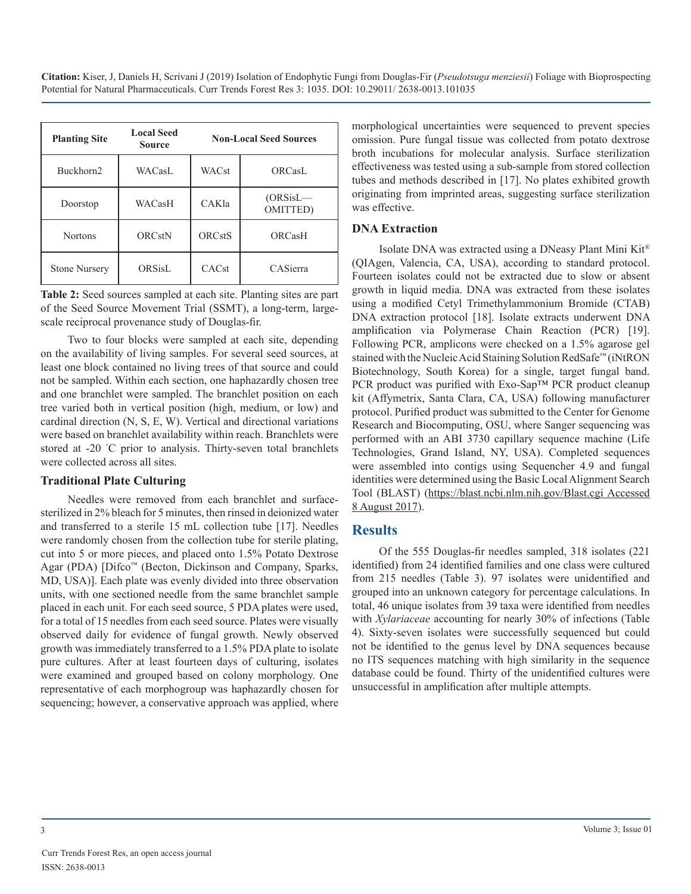| <b>Planting Site</b>            | <b>Local Seed</b><br><b>Source</b> | <b>Non-Local Seed Sources</b> |                                 |  |
|---------------------------------|------------------------------------|-------------------------------|---------------------------------|--|
| Buckhorn2                       | WACasL                             | <b>WACst</b>                  | ORCasL                          |  |
| WACasH<br>Doorstop              |                                    | CAKla                         | $(ORSisL$ —<br><b>OMITTED</b> ) |  |
| <b>ORCstN</b><br><b>Nortons</b> |                                    | <b>ORCstS</b>                 | ORCasH                          |  |
| <b>Stone Nursery</b>            | ORSisL                             | CACst                         | CASierra                        |  |

**Table 2:** Seed sources sampled at each site. Planting sites are part of the Seed Source Movement Trial (SSMT), a long-term, largescale reciprocal provenance study of Douglas-fir.

Two to four blocks were sampled at each site, depending on the availability of living samples. For several seed sources, at least one block contained no living trees of that source and could not be sampled. Within each section, one haphazardly chosen tree and one branchlet were sampled. The branchlet position on each tree varied both in vertical position (high, medium, or low) and cardinal direction (N, S, E, W). Vertical and directional variations were based on branchlet availability within reach. Branchlets were stored at -20 ° C prior to analysis. Thirty-seven total branchlets were collected across all sites.

#### **Traditional Plate Culturing**

Needles were removed from each branchlet and surfacesterilized in 2% bleach for 5 minutes, then rinsed in deionized water and transferred to a sterile 15 mL collection tube [17]. Needles were randomly chosen from the collection tube for sterile plating, cut into 5 or more pieces, and placed onto 1.5% Potato Dextrose Agar (PDA) [Difco™ (Becton, Dickinson and Company, Sparks, MD, USA)]. Each plate was evenly divided into three observation units, with one sectioned needle from the same branchlet sample placed in each unit. For each seed source, 5 PDA plates were used, for a total of 15 needles from each seed source. Plates were visually observed daily for evidence of fungal growth. Newly observed growth was immediately transferred to a 1.5% PDA plate to isolate pure cultures. After at least fourteen days of culturing, isolates were examined and grouped based on colony morphology. One representative of each morphogroup was haphazardly chosen for sequencing; however, a conservative approach was applied, where

morphological uncertainties were sequenced to prevent species omission. Pure fungal tissue was collected from potato dextrose broth incubations for molecular analysis. Surface sterilization effectiveness was tested using a sub-sample from stored collection tubes and methods described in [17]. No plates exhibited growth originating from imprinted areas, suggesting surface sterilization was effective.

#### **DNA Extraction**

Isolate DNA was extracted using a DNeasy Plant Mini Kit® (QIAgen, Valencia, CA, USA), according to standard protocol. Fourteen isolates could not be extracted due to slow or absent growth in liquid media. DNA was extracted from these isolates using a modified Cetyl Trimethylammonium Bromide (CTAB) DNA extraction protocol [18]. Isolate extracts underwent DNA amplification via Polymerase Chain Reaction (PCR) [19]. Following PCR, amplicons were checked on a 1.5% agarose gel stained with the Nucleic Acid Staining Solution RedSafe™ (iNtRON Biotechnology, South Korea) for a single, target fungal band. PCR product was purified with Exo-Sap™ PCR product cleanup kit (Affymetrix, Santa Clara, CA, USA) following manufacturer protocol. Purified product was submitted to the Center for Genome Research and Biocomputing, OSU, where Sanger sequencing was performed with an ABI 3730 capillary sequence machine (Life Technologies, Grand Island, NY, USA). Completed sequences were assembled into contigs using Sequencher 4.9 and fungal identities were determined using the Basic Local Alignment Search Tool (BLAST) ([https://blast.ncbi.nlm.nih.gov/Blast.cgi Accessed](https://blast.ncbi.nlm.nih.gov/Blast.cgi Accessed 8 August 2017)  [8 August 2017](https://blast.ncbi.nlm.nih.gov/Blast.cgi Accessed 8 August 2017)).

## **Results**

Of the 555 Douglas-fir needles sampled, 318 isolates (221 identified) from 24 identified families and one class were cultured from 215 needles (Table 3). 97 isolates were unidentified and grouped into an unknown category for percentage calculations. In total, 46 unique isolates from 39 taxa were identified from needles with *Xylariaceae* accounting for nearly 30% of infections (Table 4). Sixty-seven isolates were successfully sequenced but could not be identified to the genus level by DNA sequences because no ITS sequences matching with high similarity in the sequence database could be found. Thirty of the unidentified cultures were unsuccessful in amplification after multiple attempts.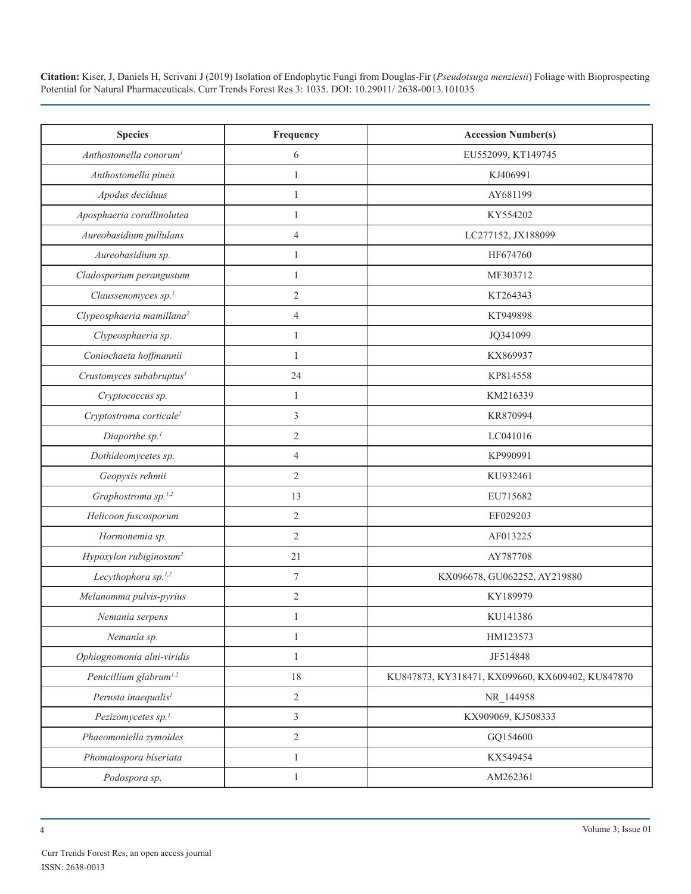| <b>Species</b>                        | Frequency                | <b>Accession Number(s)</b>                       |  |  |
|---------------------------------------|--------------------------|--------------------------------------------------|--|--|
| Anthostomella conorum <sup>1</sup>    | 6                        | EU552099, KT149745                               |  |  |
| Anthostomella pinea                   | $\mathbf{1}$             | KJ406991                                         |  |  |
| Apodus deciduus                       | $\mathbf{1}$             | AY681199                                         |  |  |
| Aposphaeria corallinolutea            | $\mathbf{1}$             | KY554202                                         |  |  |
| Aureobasidium pullulans               | $\overline{4}$           | LC277152, JX188099                               |  |  |
| Aureobasidium sp.                     | $\mathbf{1}$             | HF674760                                         |  |  |
| Cladosporium perangustum              | $\mathbf{1}$             | MF303712                                         |  |  |
| Claussenomyces sp. <sup>1</sup>       | $\overline{2}$           | KT264343                                         |  |  |
| Clypeosphaeria mamillana <sup>2</sup> | $\overline{4}$           | KT949898                                         |  |  |
| Clypeosphaeria sp.                    | 1                        | JQ341099                                         |  |  |
| Coniochaeta hoffmannii                | $\mathbf{1}$             | KX869937                                         |  |  |
| Crustomyces subabruptus <sup>1</sup>  | 24                       | KP814558                                         |  |  |
| Cryptococcus sp.                      | 1                        | KM216339                                         |  |  |
| Cryptostroma corticale <sup>2</sup>   | $\mathfrak{Z}$           | KR870994                                         |  |  |
| Diaporthe sp. <sup>1</sup>            | $\mathfrak{2}$           | LC041016                                         |  |  |
| Dothideomycetes sp.                   | $\overline{4}$           | KP990991                                         |  |  |
| Geopyxis rehmii                       | $\overline{2}$           | KU932461                                         |  |  |
| Graphostroma sp. <sup>1,2</sup>       | 13                       | EU715682                                         |  |  |
| Helicoon fuscosporum                  | $\mathfrak{2}$           | EF029203                                         |  |  |
| Hormonemia sp.                        | $\mathbf{2}$             | AF013225                                         |  |  |
| Hypoxylon rubiginosum <sup>2</sup>    | 21                       | AY787708                                         |  |  |
| Lecythophora sp. <sup>1,2</sup>       | $\tau$                   | KX096678, GU062252, AY219880                     |  |  |
| Melanomma pulvis-pyrius               | $\mathbf{2}$             | KY189979                                         |  |  |
| Nemania serpens                       | 1                        | KU141386                                         |  |  |
| Nemania sp.                           | 1                        | HM123573                                         |  |  |
| Ophiognomonia alni-viridis            | $\mathbf{1}$             | JF514848                                         |  |  |
| Penicillium glabrum <sup>1,2</sup>    | 18                       | KU847873, KY318471, KX099660, KX609402, KU847870 |  |  |
| Perusta inaequalis <sup>1</sup>       | $\overline{2}$           | NR_144958                                        |  |  |
| Pezizomycetes sp. <sup>1</sup>        | $\mathfrak{Z}$           | KX909069, KJ508333                               |  |  |
| Phaeomoniella zymoides                | $\overline{2}$           | GQ154600                                         |  |  |
| Phomatospora biseriata                | $\mathbf{1}$<br>KX549454 |                                                  |  |  |
| Podospora sp.                         | $\mathbf{1}$             | AM262361                                         |  |  |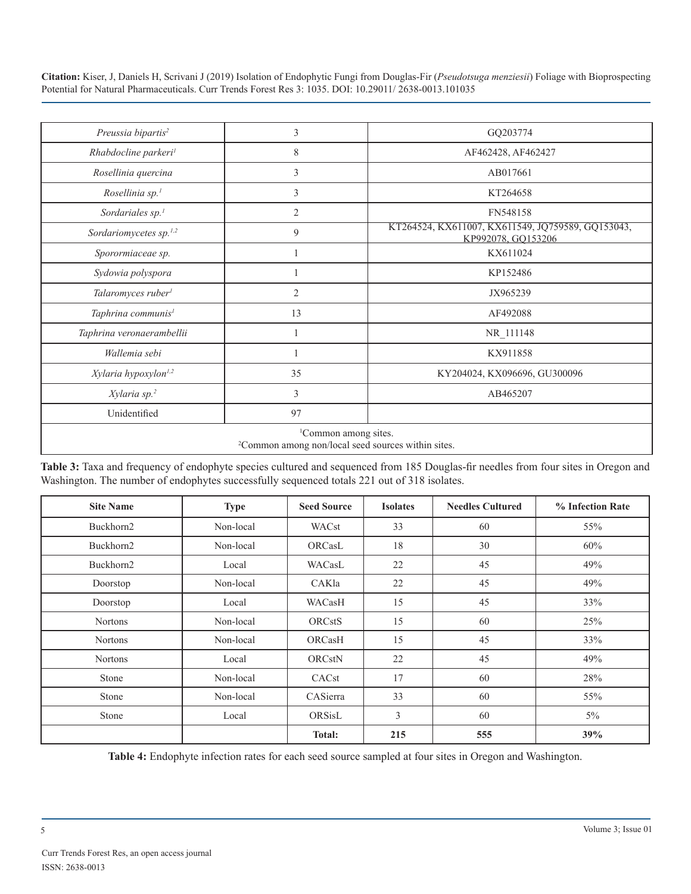| Preussia bipartis <sup>2</sup>                                                                     | 3              | GQ203774                                                                |  |  |
|----------------------------------------------------------------------------------------------------|----------------|-------------------------------------------------------------------------|--|--|
| Rhabdocline parkeri <sup>1</sup>                                                                   | 8              | AF462428, AF462427                                                      |  |  |
| Rosellinia quercina                                                                                | 3              | AB017661                                                                |  |  |
| Rosellinia sp. <sup>1</sup>                                                                        | 3              | KT264658                                                                |  |  |
| Sordariales sp. <sup>1</sup>                                                                       | $\overline{2}$ | FN548158                                                                |  |  |
| Sordariomycetes sp. <sup>1,2</sup>                                                                 | 9              | KT264524, KX611007, KX611549, JQ759589, GQ153043,<br>KP992078, GQ153206 |  |  |
| Sporormiaceae sp.                                                                                  |                | KX611024                                                                |  |  |
| Sydowia polyspora                                                                                  |                | KP152486                                                                |  |  |
| Talaromyces ruber <sup>1</sup>                                                                     | $\overline{2}$ | JX965239                                                                |  |  |
| Taphrina communis <sup>1</sup>                                                                     | 13             | AF492088                                                                |  |  |
| Taphrina veronaerambellii                                                                          |                | NR_111148                                                               |  |  |
| Wallemia sebi                                                                                      |                | KX911858                                                                |  |  |
| Xylaria hypoxylon <sup>1,2</sup>                                                                   | 35             | KY204024, KX096696, GU300096                                            |  |  |
| Xylaria sp. <sup>2</sup>                                                                           | 3              | AB465207                                                                |  |  |
| Unidentified                                                                                       | 97             |                                                                         |  |  |
| <sup>1</sup> Common among sites.<br><sup>2</sup> Common among non/local seed sources within sites. |                |                                                                         |  |  |

**Table 3:** Taxa and frequency of endophyte species cultured and sequenced from 185 Douglas-fir needles from four sites in Oregon and Washington. The number of endophytes successfully sequenced totals 221 out of 318 isolates.

| <b>Site Name</b> | <b>Type</b> | <b>Seed Source</b> | <b>Isolates</b> | <b>Needles Cultured</b> | % Infection Rate |
|------------------|-------------|--------------------|-----------------|-------------------------|------------------|
| Buckhorn2        | Non-local   | WACst              | 33              | 60                      | 55%              |
| Buckhorn2        | Non-local   | ORCasL             | 18              | 30                      | 60%              |
| Buckhorn2        | Local       | WACasL             | 22              | 45                      | 49%              |
| Doorstop         | Non-local   | CAKla              | 22              | 45                      | 49%              |
| Doorstop         | Local       | WACasH             | 15              | 45                      | 33%              |
| <b>Nortons</b>   | Non-local   | <b>ORCstS</b>      | 15              | 60                      | 25%              |
| <b>Nortons</b>   | Non-local   | ORCasH             | 15              | 45                      | 33%              |
| <b>Nortons</b>   | Local       | <b>ORCstN</b>      | 22              | 45                      | 49%              |
| Stone            | Non-local   | CACst              | 17              | 60                      | 28%              |
| Stone            | Non-local   | CASierra           | 33              | 60                      | 55%              |
| Stone            | Local       | ORSisL             | 3               | 60                      | $5\%$            |
|                  |             | <b>Total:</b>      | 215             | 555                     | 39%              |

**Table 4:** Endophyte infection rates for each seed source sampled at four sites in Oregon and Washington.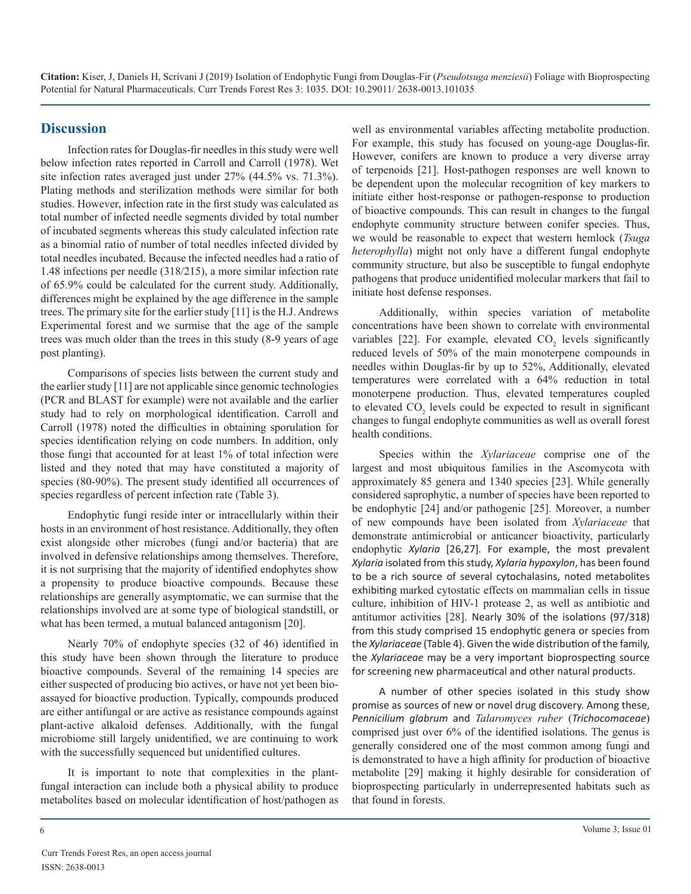## **Discussion**

Infection rates for Douglas-fir needles in this study were well below infection rates reported in Carroll and Carroll (1978). Wet site infection rates averaged just under 27% (44.5% vs. 71.3%). Plating methods and sterilization methods were similar for both studies. However, infection rate in the first study was calculated as total number of infected needle segments divided by total number of incubated segments whereas this study calculated infection rate as a binomial ratio of number of total needles infected divided by total needles incubated. Because the infected needles had a ratio of 1.48 infections per needle (318/215), a more similar infection rate of 65.9% could be calculated for the current study. Additionally, differences might be explained by the age difference in the sample trees. The primary site for the earlier study [11] is the H.J. Andrews Experimental forest and we surmise that the age of the sample trees was much older than the trees in this study (8-9 years of age post planting).

Comparisons of species lists between the current study and the earlier study [11] are not applicable since genomic technologies (PCR and BLAST for example) were not available and the earlier study had to rely on morphological identification. Carroll and Carroll (1978) noted the difficulties in obtaining sporulation for species identification relying on code numbers. In addition, only those fungi that accounted for at least 1% of total infection were listed and they noted that may have constituted a majority of species (80-90%). The present study identified all occurrences of species regardless of percent infection rate (Table 3).

Endophytic fungi reside inter or intracellularly within their hosts in an environment of host resistance. Additionally, they often exist alongside other microbes (fungi and/or bacteria) that are involved in defensive relationships among themselves. Therefore, it is not surprising that the majority of identified endophytes show a propensity to produce bioactive compounds. Because these relationships are generally asymptomatic, we can surmise that the relationships involved are at some type of biological standstill, or what has been termed, a mutual balanced antagonism [20].

Nearly 70% of endophyte species (32 of 46) identified in this study have been shown through the literature to produce bioactive compounds. Several of the remaining 14 species are either suspected of producing bio actives, or have not yet been bioassayed for bioactive production. Typically, compounds produced are either antifungal or are active as resistance compounds against plant-active alkaloid defenses. Additionally, with the fungal microbiome still largely unidentified, we are continuing to work with the successfully sequenced but unidentified cultures.

It is important to note that complexities in the plantfungal interaction can include both a physical ability to produce metabolites based on molecular identification of host/pathogen as well as environmental variables affecting metabolite production. For example, this study has focused on young-age Douglas-fir. However, conifers are known to produce a very diverse array of terpenoids [21]. Host-pathogen responses are well known to be dependent upon the molecular recognition of key markers to initiate either host-response or pathogen-response to production of bioactive compounds. This can result in changes to the fungal endophyte community structure between conifer species. Thus, we would be reasonable to expect that western hemlock (*Tsuga heterophylla*) might not only have a different fungal endophyte community structure, but also be susceptible to fungal endophyte pathogens that produce unidentified molecular markers that fail to initiate host defense responses.

Additionally, within species variation of metabolite concentrations have been shown to correlate with environmental variables [22]. For example, elevated  $CO_2$  levels significantly reduced levels of 50% of the main monoterpene compounds in needles within Douglas-fir by up to 52%, Additionally, elevated temperatures were correlated with a 64% reduction in total monoterpene production. Thus, elevated temperatures coupled to elevated  $CO_2$  levels could be expected to result in significant changes to fungal endophyte communities as well as overall forest health conditions.

Species within the *Xylariaceae* comprise one of the largest and most ubiquitous families in the Ascomycota with approximately 85 genera and 1340 species [23]. While generally considered saprophytic, a number of species have been reported to be endophytic [24] and/or pathogenic [25]. Moreover, a number of new compounds have been isolated from *Xylariaceae* that demonstrate antimicrobial or anticancer bioactivity, particularly endophytic *Xylaria* [26,27]*.* For example, the most prevalent *Xylaria* isolated from this study, *Xylaria hypoxylon*, has been found to be a rich source of several cytochalasins, noted metabolites exhibiting marked cytostatic effects on mammalian cells in tissue culture, inhibition of HIV-1 protease 2, as well as antibiotic and antitumor activities [28]. Nearly 30% of the isolations (97/318) from this study comprised 15 endophytic genera or species from the *Xylariaceae* (Table 4). Given the wide distribution of the family, the *Xylariaceae* may be a very important bioprospecting source for screening new pharmaceutical and other natural products.

A number of other species isolated in this study show promise as sources of new or novel drug discovery. Among these, *Pennicilium glabrum* and *Talaromyces ruber* (*Trichocomaceae*) comprised just over 6% of the identified isolations. The genus is generally considered one of the most common among fungi and is demonstrated to have a high affinity for production of bioactive metabolite [29] making it highly desirable for consideration of bioprospecting particularly in underrepresented habitats such as that found in forests.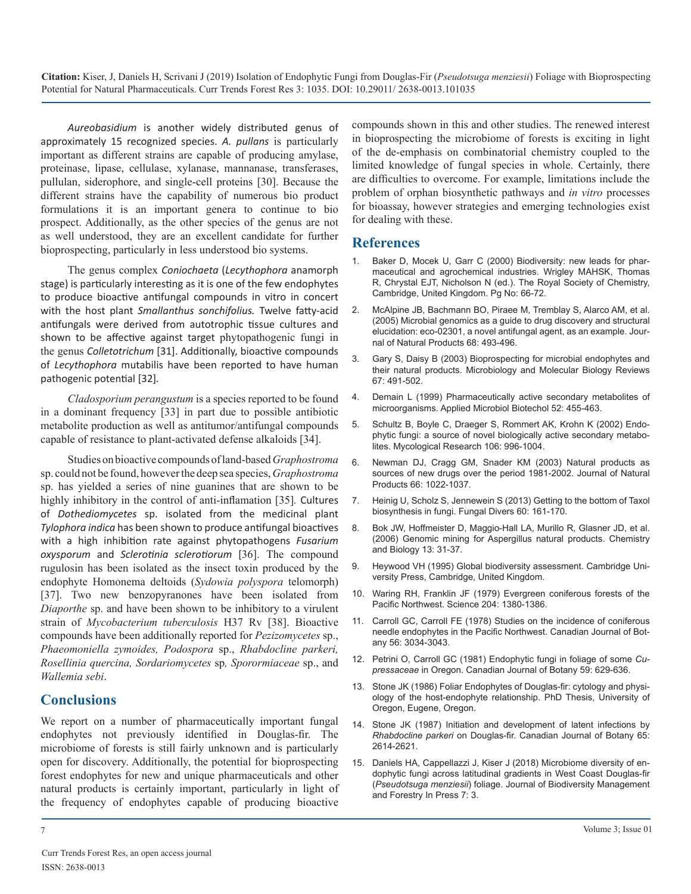*Aureobasidium* is another widely distributed genus of approximately 15 recognized species. *A. pullans* is particularly important as different strains are capable of producing amylase, proteinase, lipase, cellulase, xylanase, mannanase, transferases, pullulan, siderophore, and single-cell proteins [30]. Because the different strains have the capability of numerous bio product formulations it is an important genera to continue to bio prospect. Additionally, as the other species of the genus are not as well understood, they are an excellent candidate for further bioprospecting, particularly in less understood bio systems.

The genus complex *Coniochaeta* (*Lecythophora* anamorph stage) is particularly interesting as it is one of the few endophytes to produce bioactive antifungal compounds in vitro in concert with the host plant *Smallanthus sonchifolius.* Twelve fatty-acid antifungals were derived from autotrophic tissue cultures and shown to be affective against target phytopathogenic fungi in the genus *Colletotrichum* [31]. Additionally, bioactive compounds of *Lecythophora* mutabilis have been reported to have human pathogenic potential [32]*.*

*Cladosporium perangustum* is a species reported to be found [in a dominant frequency \[33\] in part due to possible antibiotic](https://www.ncbi.nlm.nih.gov/pubmed/10570792)  metabolite production as well as antitumor/antifungal compounds capable of resistance to plant-activated defense alkaloids [34].

Studies on bioactive compounds of land-based *Graphostroma* [sp. could not be found, however the deep sea species,](https://www.ncbi.nlm.nih.gov/pubmed/12880330) *Graphostroma*  sp. has yielded a series of nine guanines that are shown to be highly inhibitory in the control of anti-inflamation [35]*.* Cultures of *Dothediomycetes* [sp. isolated from the medicinal plant](https://link.springer.com/article/10.1007/s13225-013-0228-7)  *Tylophora indica* has been shown to produce antifungal bioactives with a high inhibition rate against phytopathogens *Fusarium oxysporum* and *Sclerotinia sclerotiorum* [36]. The compound rugulosin has been isolated as the insect toxin produced by the endophyte Homonema deltoids (*Sydowia polyspora* telomorph) [37]. Two new benzopyranones have been isolated from *Diaporthe* [sp. and have been shown to be inhibitory to a virulent](https://andrewsforest.oregonstate.edu/sites/default/files/lter/pubs/pdf/pub189.pdf)  strain of *Mycobacterium tuberculosis* H37 Rv [38]. Bioactive compounds have been additionally reported for *Pezizomycetes* sp., *Phaeomoniella zymoides, Podospora* sp., *Rhabdocline parkeri, Rosellinia quercina, Sordariomycetes* sp*, Sporormiaceae* sp., and *Wallemia sebi*.

## **Conclusions**

We report on a number of pharmaceutically important fungal [endophytes not previously identified in Douglas-fir. The](https://www.nrcresearchpress.com/doi/abs/10.1139/b87-352#.XWenYS4zbIU)  microbiome of forests is still fairly unknown and is particularly open for discovery. Additionally, the potential for bioprospecting [forest endophytes for new and unique pharmaceuticals and other](https://www.scitechnol.com/peer-review/microbiome-diversity-of-endophytic-fungi-across-latitudinal-gradients-in-west-coast-douglasfir-pseudotsuga-menziesii-foliage-sYXk.php?article_id=9199)  natural products is certainly important, particularly in light of the frequency of endophytes capable of producing bioactive

compounds shown in this and other studies. The renewed interest in bioprospecting the microbiome of forests is exciting in light of the de-emphasis on combinatorial chemistry coupled to the limited knowledge of fungal species in whole. Certainly, there are difficulties to overcome. For example, limitations include the problem of orphan biosynthetic pathways and *in vitro* processes for bioassay, however strategies and emerging technologies exist for dealing with these.

## **References**

- [Baker D, Mocek U, Garr C \(2000\) Biodiversity: new leads for phar](https://books.google.co.in/books/about/Biodiversity.html?id=CKRqdAk3OfkC&redir_esc=y)[maceutical and agrochemical industries. Wrigley MAHSK, Thomas](https://books.google.co.in/books/about/Biodiversity.html?id=CKRqdAk3OfkC&redir_esc=y)  [R, Chrystal EJT, Nicholson N \(ed.\). The Royal Society of Chemistry,](https://books.google.co.in/books/about/Biodiversity.html?id=CKRqdAk3OfkC&redir_esc=y)  [Cambridge, United Kingdom. Pg No: 66-72.](https://books.google.co.in/books/about/Biodiversity.html?id=CKRqdAk3OfkC&redir_esc=y)
- 2. [McAlpine JB, Bachmann BO, Piraee M, Tremblay S, Alarco AM, et al.](https://www.ncbi.nlm.nih.gov/pubmed/15844935)  [\(2005\) Microbial genomics as a guide to drug discovery and structural](https://www.ncbi.nlm.nih.gov/pubmed/15844935)  [elucidation: eco-02301, a novel antifungal agent, as an example. Jour](https://www.ncbi.nlm.nih.gov/pubmed/15844935)[nal of Natural Products 68: 493-496.](https://www.ncbi.nlm.nih.gov/pubmed/15844935)
- 3. [Gary S, Daisy B \(2003\) Bioprospecting for microbial endophytes and](https://www.ncbi.nlm.nih.gov/pmc/articles/PMC309047/) [their natural products. Microbiology and Molecular Biology Reviews](https://www.ncbi.nlm.nih.gov/pmc/articles/PMC309047/)  [67: 491-502.](https://www.ncbi.nlm.nih.gov/pmc/articles/PMC309047/)
- 4. [Demain L \(1999\) Pharmaceutically active secondary metabolites of](https://www.ncbi.nlm.nih.gov/pubmed/10570792) microorganisms. Applied Microbiol Biotechol 52: 455-463.
- 5. [Schultz B, Boyle C, Draeger S, Rommert AK, Krohn K \(2002\) Endo](https://www.sciencedirect.com/science/article/abs/pii/S0953756208601501)[phytic fungi: a source of novel biologically active secondary metabo](https://www.sciencedirect.com/science/article/abs/pii/S0953756208601501)[lites. Mycological Research 106: 996-1004.](https://www.sciencedirect.com/science/article/abs/pii/S0953756208601501)
- 6. [Newman DJ, Cragg GM, Snader KM \(2003\) Natural products as](https://www.ncbi.nlm.nih.gov/pubmed/12880330) sources of new drugs over the period 1981-2002. Journal of Natural [Products 66: 1022-1037.](https://www.ncbi.nlm.nih.gov/pubmed/12880330)
- 7. [Heinig U, Scholz S, Jennewein S \(2013\) Getting to the bottom of Taxol](https://link.springer.com/article/10.1007/s13225-013-0228-7)  biosynthesis in fungi. Fungal Divers 60: 161-170.
- 8. [Bok JW, Hoffmeister D, Maggio-Hall LA, Murillo R, Glasner JD, et al.](https://www.ncbi.nlm.nih.gov/pubmed/16426969) [\(2006\) Genomic mining for Aspergillus natural products. Chemistry](https://www.ncbi.nlm.nih.gov/pubmed/16426969)  [and Biology 13: 31-37.](https://www.ncbi.nlm.nih.gov/pubmed/16426969)
- 9. [Heywood VH \(1995\) Global biodiversity assessment. Cambridge Uni](https://www.cambridge.org/in/academic/subjects/life-sciences/ecology-and-conservation/global-biodiversity-assessment?format=PB&isbn=9780521564816)[versity Press, Cambridge, United Kingdom.](https://www.cambridge.org/in/academic/subjects/life-sciences/ecology-and-conservation/global-biodiversity-assessment?format=PB&isbn=9780521564816)
- 10. [Waring RH, Franklin JF \(1979\) Evergreen coniferous forests of the](https://andrewsforest.oregonstate.edu/sites/default/files/lter/pubs/pdf/pub189.pdf) Pacific Northwest. Science 204: 1380-1386.
- 11. [Carroll GC, Carroll FE \(1978\) Studies on the incidence of coniferous](https://www.nrcresearchpress.com/doi/10.1139/b78-367#.XWeVtC4zbIU)  [needle endophytes in the Pacific Northwest. Canadian Journal of Bot](https://www.nrcresearchpress.com/doi/10.1139/b78-367#.XWeVtC4zbIU)[any 56: 3034-3043.](https://www.nrcresearchpress.com/doi/10.1139/b78-367#.XWeVtC4zbIU)
- 12. [Petrini O, Carroll GC \(1981\) Endophytic fungi in foliage of some](https://www.nrcresearchpress.com/doi/abs/10.1139/b81-089#.XWeWmS4zbIU) *Cupressaceae* [in Oregon. Canadian Journal of Botany 59: 629-636.](https://www.nrcresearchpress.com/doi/abs/10.1139/b81-089#.XWeWmS4zbIU)
- 13. Stone JK (1986) Foliar Endophytes of Douglas-fir: cytology and physiology of the host-endophyte relationship. PhD Thesis, University of Oregon, Eugene, Oregon.
- 14. [Stone JK \(1987\) Initiation and development of latent infections by](https://www.nrcresearchpress.com/doi/abs/10.1139/b87-352#.XWenYS4zbIU)  *Rhabdocline parkeri* on Douglas-fir. Canadian Journal of Botany 65: [2614-2621.](https://www.nrcresearchpress.com/doi/abs/10.1139/b87-352#.XWenYS4zbIU)
- 15. [Daniels HA, Cappellazzi J, Kiser J \(2018\) Microbiome diversity of en](https://www.scitechnol.com/peer-review/microbiome-diversity-of-endophytic-fungi-across-latitudinal-gradients-in-west-coast-douglasfir-pseudotsuga-menziesii-foliage-sYXk.php?article_id=9199)dophytic fungi across latitudinal gradients in West Coast Douglas-fir (*Pseudotsuga menziesii*[\) foliage. Journal of Biodiversity Management](https://www.scitechnol.com/peer-review/microbiome-diversity-of-endophytic-fungi-across-latitudinal-gradients-in-west-coast-douglasfir-pseudotsuga-menziesii-foliage-sYXk.php?article_id=9199)  [and Forestry In Press 7: 3.](https://www.scitechnol.com/peer-review/microbiome-diversity-of-endophytic-fungi-across-latitudinal-gradients-in-west-coast-douglasfir-pseudotsuga-menziesii-foliage-sYXk.php?article_id=9199)